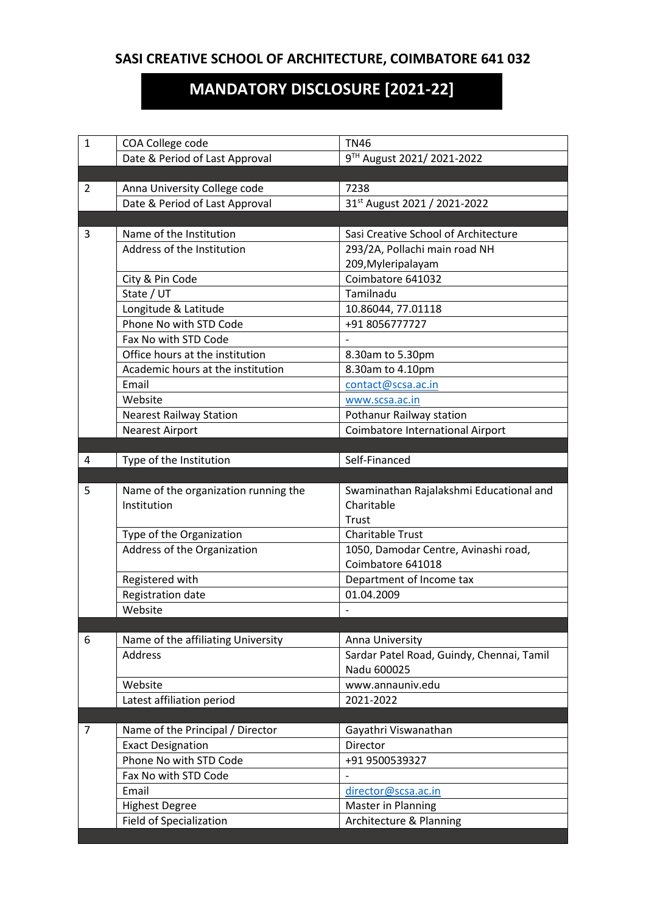# **SASI CREATIVE SCHOOL OF ARCHITECTURE, COIMBATORE 641 032**

# **MANDATORY DISCLOSURE [2021-22]**

| 1 | COA College code                     | <b>TN46</b>                               |
|---|--------------------------------------|-------------------------------------------|
|   | Date & Period of Last Approval       | 9TH August 2021/2021-2022                 |
|   |                                      |                                           |
| 2 | Anna University College code         | 7238                                      |
|   | Date & Period of Last Approval       | 31st August 2021 / 2021-2022              |
|   |                                      |                                           |
| 3 | Name of the Institution              | Sasi Creative School of Architecture      |
|   | Address of the Institution           | 293/2A, Pollachi main road NH             |
|   |                                      | 209, Myleripalayam                        |
|   | City & Pin Code                      | Coimbatore 641032                         |
|   | State / UT                           | Tamilnadu                                 |
|   | Longitude & Latitude                 | 10.86044, 77.01118                        |
|   | Phone No with STD Code               | +91 8056777727                            |
|   | Fax No with STD Code                 |                                           |
|   | Office hours at the institution      | 8.30am to 5.30pm                          |
|   | Academic hours at the institution    | 8.30am to 4.10pm                          |
|   | Email                                | contact@scsa.ac.in                        |
|   | Website                              | www.scsa.ac.in                            |
|   | <b>Nearest Railway Station</b>       | Pothanur Railway station                  |
|   | <b>Nearest Airport</b>               | Coimbatore International Airport          |
|   |                                      |                                           |
| 4 | Type of the Institution              | Self-Financed                             |
|   |                                      |                                           |
| 5 | Name of the organization running the | Swaminathan Rajalakshmi Educational and   |
|   | Institution                          | Charitable                                |
|   |                                      | Trust                                     |
|   | Type of the Organization             | <b>Charitable Trust</b>                   |
|   | Address of the Organization          | 1050, Damodar Centre, Avinashi road,      |
|   |                                      | Coimbatore 641018                         |
|   | Registered with                      | Department of Income tax                  |
|   | Registration date                    | 01.04.2009                                |
|   | Website                              |                                           |
|   |                                      |                                           |
| 6 | Name of the affiliating University   | Anna University                           |
|   | <b>Address</b>                       | Sardar Patel Road, Guindy, Chennai, Tamil |
|   |                                      | Nadu 600025                               |
|   | Website                              | www.annauniv.edu                          |
|   | Latest affiliation period            | 2021-2022                                 |
|   |                                      |                                           |
| 7 | Name of the Principal / Director     | Gayathri Viswanathan                      |
|   | <b>Exact Designation</b>             | Director                                  |
|   | Phone No with STD Code               | +91 9500539327                            |
|   | Fax No with STD Code                 |                                           |
|   | Email                                | director@scsa.ac.in                       |
|   | <b>Highest Degree</b>                | Master in Planning                        |
|   | <b>Field of Specialization</b>       | Architecture & Planning                   |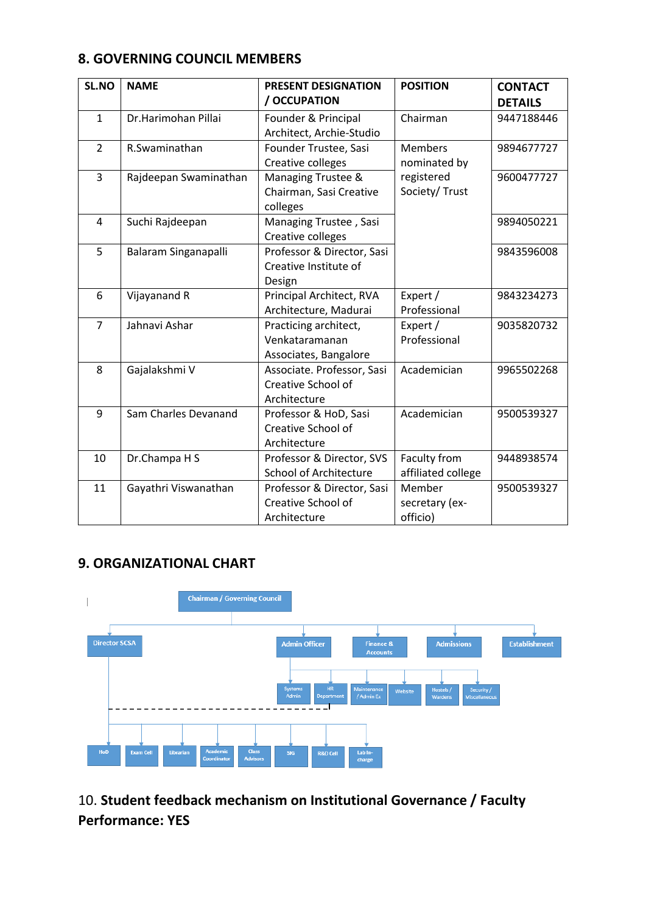#### **8. GOVERNING COUNCIL MEMBERS**

| SL.NO          | <b>NAME</b>           | PRESENT DESIGNATION           | <b>POSITION</b>    | <b>CONTACT</b> |
|----------------|-----------------------|-------------------------------|--------------------|----------------|
|                |                       | / OCCUPATION                  |                    | <b>DETAILS</b> |
| $\mathbf{1}$   | Dr.Harimohan Pillai   | Founder & Principal           | Chairman           | 9447188446     |
|                |                       | Architect, Archie-Studio      |                    |                |
| $\overline{2}$ | R.Swaminathan         | Founder Trustee, Sasi         | <b>Members</b>     | 9894677727     |
|                |                       | Creative colleges             | nominated by       |                |
| $\overline{3}$ | Rajdeepan Swaminathan | Managing Trustee &            | registered         | 9600477727     |
|                |                       | Chairman, Sasi Creative       | Society/ Trust     |                |
|                |                       | colleges                      |                    |                |
| $\overline{4}$ | Suchi Rajdeepan       | Managing Trustee, Sasi        |                    | 9894050221     |
|                |                       | Creative colleges             |                    |                |
| 5              | Balaram Singanapalli  | Professor & Director, Sasi    |                    | 9843596008     |
|                |                       | Creative Institute of         |                    |                |
|                |                       | Design                        |                    |                |
| 6              | Vijayanand R          | Principal Architect, RVA      | Expert /           | 9843234273     |
|                |                       | Architecture, Madurai         | Professional       |                |
| $\overline{7}$ | Jahnavi Ashar         | Practicing architect,         | Expert /           | 9035820732     |
|                |                       | Venkataramanan                | Professional       |                |
|                |                       | Associates, Bangalore         |                    |                |
| 8              | Gajalakshmi V         | Associate. Professor, Sasi    | Academician        | 9965502268     |
|                |                       | Creative School of            |                    |                |
|                |                       | Architecture                  |                    |                |
| 9              | Sam Charles Devanand  | Professor & HoD, Sasi         | Academician        | 9500539327     |
|                |                       | Creative School of            |                    |                |
|                |                       | Architecture                  |                    |                |
| 10             | Dr.Champa H S         | Professor & Director, SVS     | Faculty from       | 9448938574     |
|                |                       | <b>School of Architecture</b> | affiliated college |                |
| 11             | Gayathri Viswanathan  | Professor & Director, Sasi    | Member             | 9500539327     |
|                |                       | Creative School of            | secretary (ex-     |                |
|                |                       | Architecture                  | officio)           |                |

### **9. ORGANIZATIONAL CHART**



10. **Student feedback mechanism on Institutional Governance / Faculty Performance: YES**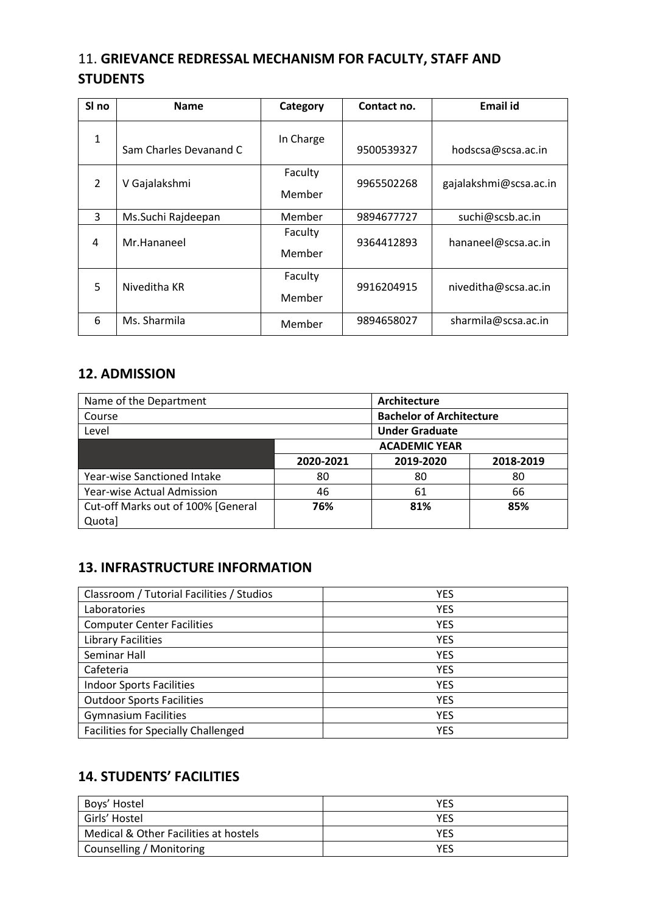## 11. **GRIEVANCE REDRESSAL MECHANISM FOR FACULTY, STAFF AND STUDENTS**

| SI <sub>no</sub> | <b>Name</b>            | Category          | Contact no. | <b>Email id</b>        |
|------------------|------------------------|-------------------|-------------|------------------------|
| 1                | Sam Charles Devanand C | In Charge         | 9500539327  | hodscsa@scsa.ac.in     |
| $\mathcal{L}$    | V Gajalakshmi          | Faculty<br>Member | 9965502268  | gajalakshmi@scsa.ac.in |
| 3                | Ms.Suchi Rajdeepan     | Member            | 9894677727  | suchi@scsb.ac.in       |
| 4                | Mr.Hananeel            | Faculty<br>Member | 9364412893  | hananeel@scsa.ac.in    |
| 5                | Niveditha KR           | Faculty<br>Member | 9916204915  | niveditha@scsa.ac.in   |
| 6                | Ms. Sharmila           | Member            | 9894658027  | sharmila@scsa.ac.in    |

#### **12. ADMISSION**

| Name of the Department             |           | Architecture                    |           |
|------------------------------------|-----------|---------------------------------|-----------|
| Course                             |           | <b>Bachelor of Architecture</b> |           |
| Level                              |           | <b>Under Graduate</b>           |           |
|                                    |           | <b>ACADEMIC YEAR</b>            |           |
|                                    | 2020-2021 | 2019-2020                       | 2018-2019 |
| Year-wise Sanctioned Intake        | 80        | 80                              | 80        |
| Year-wise Actual Admission         | 46        | 61                              | 66        |
| Cut-off Marks out of 100% [General | 76%       | 81%                             | 85%       |
| Quota]                             |           |                                 |           |

## **13. INFRASTRUCTURE INFORMATION**

| Classroom / Tutorial Facilities / Studios | <b>YES</b> |
|-------------------------------------------|------------|
| Laboratories                              | <b>YES</b> |
| <b>Computer Center Facilities</b>         | <b>YES</b> |
| <b>Library Facilities</b>                 | <b>YES</b> |
| Seminar Hall                              | <b>YES</b> |
| Cafeteria                                 | <b>YES</b> |
| <b>Indoor Sports Facilities</b>           | <b>YES</b> |
| <b>Outdoor Sports Facilities</b>          | <b>YES</b> |
| <b>Gymnasium Facilities</b>               | <b>YES</b> |
| Facilities for Specially Challenged       | <b>YES</b> |

## **14. STUDENTS' FACILITIES**

| Boys' Hostel                          | YFS        |
|---------------------------------------|------------|
| Girls' Hostel                         | <b>YES</b> |
| Medical & Other Facilities at hostels | YES        |
| Counselling / Monitoring              | YFS        |